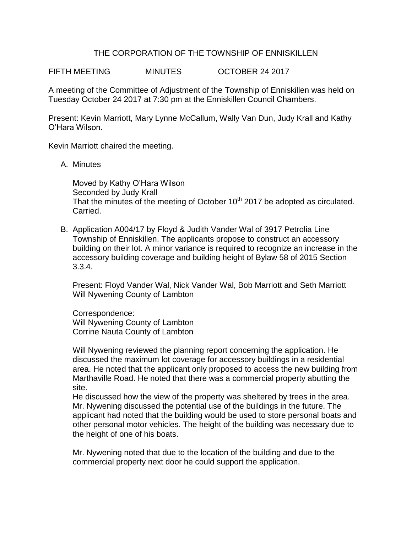## THE CORPORATION OF THE TOWNSHIP OF ENNISKILLEN

FIFTH MEETING MINUTES OCTOBER 24 2017

A meeting of the Committee of Adjustment of the Township of Enniskillen was held on Tuesday October 24 2017 at 7:30 pm at the Enniskillen Council Chambers.

Present: Kevin Marriott, Mary Lynne McCallum, Wally Van Dun, Judy Krall and Kathy O'Hara Wilson.

Kevin Marriott chaired the meeting.

A. Minutes

Moved by Kathy O'Hara Wilson Seconded by Judy Krall That the minutes of the meeting of October  $10<sup>th</sup>$  2017 be adopted as circulated. Carried.

B. Application A004/17 by Floyd & Judith Vander Wal of 3917 Petrolia Line Township of Enniskillen. The applicants propose to construct an accessory building on their lot. A minor variance is required to recognize an increase in the accessory building coverage and building height of Bylaw 58 of 2015 Section 3.3.4.

Present: Floyd Vander Wal, Nick Vander Wal, Bob Marriott and Seth Marriott Will Nywening County of Lambton

Correspondence: Will Nywening County of Lambton Corrine Nauta County of Lambton

Will Nywening reviewed the planning report concerning the application. He discussed the maximum lot coverage for accessory buildings in a residential area. He noted that the applicant only proposed to access the new building from Marthaville Road. He noted that there was a commercial property abutting the site.

He discussed how the view of the property was sheltered by trees in the area. Mr. Nywening discussed the potential use of the buildings in the future. The applicant had noted that the building would be used to store personal boats and other personal motor vehicles. The height of the building was necessary due to the height of one of his boats.

Mr. Nywening noted that due to the location of the building and due to the commercial property next door he could support the application.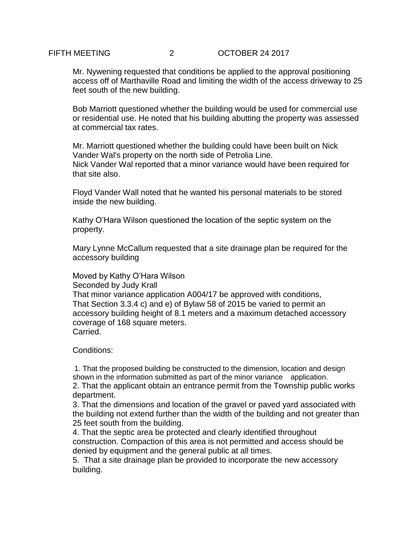Mr. Nywening requested that conditions be applied to the approval positioning access off of Marthaville Road and limiting the width of the access driveway to 25 feet south of the new building.

Bob Marriott questioned whether the building would be used for commercial use or residential use. He noted that his building abutting the property was assessed at commercial tax rates.

Mr. Marriott questioned whether the building could have been built on Nick Vander Wal's property on the north side of Petrolia Line. Nick Vander Wal reported that a minor variance would have been required for that site also.

Floyd Vander Wall noted that he wanted his personal materials to be stored inside the new building.

Kathy O'Hara Wilson questioned the location of the septic system on the property.

Mary Lynne McCallum requested that a site drainage plan be required for the accessory building

Moved by Kathy O'Hara Wilson

Seconded by Judy Krall

That minor variance application A004/17 be approved with conditions, That Section 3.3.4 c) and e) of Bylaw 58 of 2015 be varied to permit an accessory building height of 8.1 meters and a maximum detached accessory coverage of 168 square meters. Carried.

Conditions:

1. That the proposed building be constructed to the dimension, location and design shown in the information submitted as part of the minor variance application. 2. That the applicant obtain an entrance permit from the Township public works department.

3. That the dimensions and location of the gravel or paved yard associated with the building not extend further than the width of the building and not greater than 25 feet south from the building.

4. That the septic area be protected and clearly identified throughout construction. Compaction of this area is not permitted and access should be denied by equipment and the general public at all times.

5. That a site drainage plan be provided to incorporate the new accessory building.